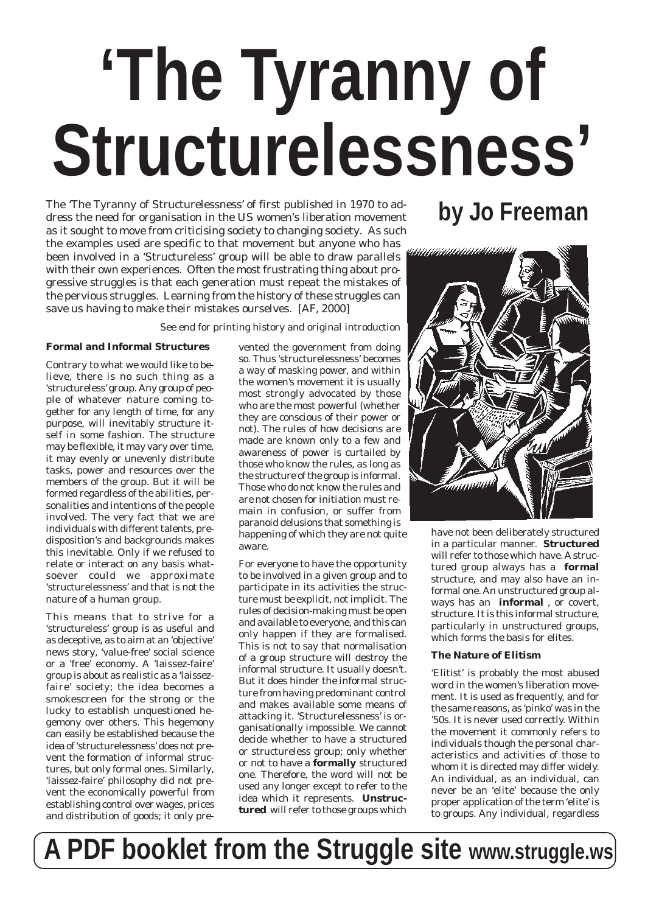# **'The Tyranny of Structurelessness'**

The 'The Tyranny of Structurelessness' of first published in 1970 to ad-**company of Structure Expansiss** of first published in 1970 to ad-**company of Structure Instance I**n the US women's liberation movement **by Jo Freeman** as it sought to move from criticising society to changing society. As such the examples used are specific to that movement but anyone who has been involved in a 'Structureless' group will be able to draw parallels with their own experiences. Often the most frustrating thing about progressive struggles is that each generation must repeat the mistakes of the pervious struggles. Learning from the history of these struggles can save us having to make their mistakes ourselves. [AF, 2000]

See end for printing history and original introduction

### **Formal and Informal Structures**

Contrary to what we would like to believe, there is no such thing as a 'structureless' group. Any group of people of whatever nature coming together for any length of time, for any purpose, will inevitably structure itself in some fashion. The structure may be flexible, it may vary over time, it may evenly or unevenly distribute tasks, power and resources over the members of the group. But it will be formed regardless of the abilities, personalities and intentions of the people involved. The very fact that we are individuals with different talents, predisposition's and backgrounds makes this inevitable. Only if we refused to relate or interact on any basis whatsoever could we approximate 'structurelessness' and that is not the nature of a human group.

This means that to strive for a 'structureless' group is as useful and as deceptive, as to aim at an 'objective' news story, 'value-free' social science or a 'free' economy. A 'laissez-faire' group is about as realistic as a 'laissezfaire' society; the idea becomes a smokescreen for the strong or the lucky to establish unquestioned hegemony over others. This hegemony can easily be established because the idea of 'structurelessness' does not prevent the formation of informal structures, but only formal ones. Similarly, 'laissez-faire' philosophy did not prevent the economically powerful from establishing control over wages, prices and distribution of goods; it only prevented the government from doing so. Thus 'structurelessness' becomes a way of masking power, and within the women's movement it is usually most strongly advocated by those who are the most powerful (whether they are conscious of their power or not). The rules of how decisions are made are known only to a few and awareness of power is curtailed by those who know the rules, as long as the structure of the group is informal. Those who do not know the rules and are not chosen for initiation must remain in confusion, or suffer from paranoid delusions that something is happening of which they are not quite aware.

For everyone to have the opportunity to be involved in a given group and to participate in its activities the structure must be explicit, not implicit. The rules of decision-making must be open and available to everyone, and this can only happen if they are formalised. This is not to say that normalisation of a group structure will destroy the informal structure. It usually doesn't. But it does hinder the informal structure from having predominant control and makes available some means of attacking it. 'Structurelessness' is organisationally impossible. We cannot decide whether to have a structured or structureless group; only whether or not to have a **formally** structured one. Therefore, the word will not be used any longer except to refer to the idea which it represents. **Unstructured** will refer to those groups which



have not been deliberately structured in a particular manner. **Structured** will refer to those which have. A structured group always has a **formal** structure, and may also have an informal one. An unstructured group always has an **informal** , or covert, structure. It is this informal structure, particularly in unstructured groups, which forms the basis for elites.

### **The Nature of Elitism**

'Elitist' is probably the most abused word in the women's liberation movement. It is used as frequently, and for the same reasons, as 'pinko' was in the '50s. It is never used correctly. Within the movement it commonly refers to individuals though the personal characteristics and activities of those to whom it is directed may differ widely. An individual, as an individual, can never be an 'elite' because the only proper application of the term 'elite' is to groups. Any individual, regardless

**A PDF booklet from the Struggle site www.struggle.ws**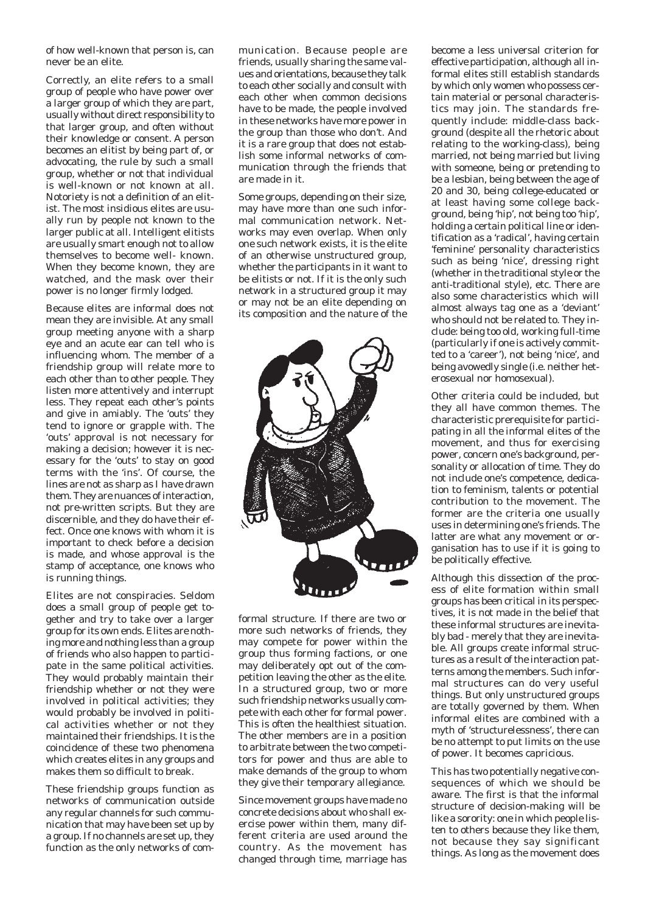of how well-known that person is, can never be an elite.

Correctly, an elite refers to a small group of people who have power over a larger group of which they are part, usually without direct responsibility to that larger group, and often without their knowledge or consent. A person becomes an elitist by being part of, or advocating, the rule by such a small group, whether or not that individual is well-known or not known at all. Notoriety is not a definition of an elitist. The most insidious elites are usually run by people not known to the larger public at all. Intelligent elitists are usually smart enough not to allow themselves to become well- known. When they become known, they are watched, and the mask over their power is no longer firmly lodged.

Because elites are informal does not mean they are invisible. At any small group meeting anyone with a sharp eye and an acute ear can tell who is influencing whom. The member of a friendship group will relate more to each other than to other people. They listen more attentively and interrupt less. They repeat each other's points and give in amiably. The 'outs' they tend to ignore or grapple with. The 'outs' approval is not necessary for making a decision; however it is necessary for the 'outs' to stay on good terms with the 'ins'. Of course, the lines are not as sharp as I have drawn them. They are nuances of interaction, not pre-written scripts. But they are discernible, and they do have their effect. Once one knows with whom it is important to check before a decision is made, and whose approval is the stamp of acceptance, one knows who is running things.

Elites are not conspiracies. Seldom does a small group of people get together and try to take over a larger group for its own ends. Elites are nothing more and nothing less than a group of friends who also happen to participate in the same political activities. They would probably maintain their friendship whether or not they were involved in political activities; they would probably be involved in political activities whether or not they maintained their friendships. It is the coincidence of these two phenomena which creates elites in any groups and makes them so difficult to break.

These friendship groups function as networks of communication outside any regular channels for such communication that may have been set up by a group. If no channels are set up, they function as the only networks of communication. Because people are friends, usually sharing the same values and orientations, because they talk to each other socially and consult with each other when common decisions have to be made, the people involved in these networks have more power in the group than those who don't. And it is a rare group that does not establish some informal networks of communication through the friends that are made in it.

Some groups, depending on their size, may have more than one such informal communication network. Networks may even overlap. When only one such network exists, it is the elite of an otherwise unstructured group, whether the participants in it want to be elitists or not. If it is the only such network in a structured group it may or may not be an elite depending on its composition and the nature of the



formal structure. If there are two or more such networks of friends, they may compete for power within the group thus forming factions, or one may deliberately opt out of the competition leaving the other as the elite. In a structured group, two or more such friendship networks usually compete with each other for formal power. This is often the healthiest situation. The other members are in a position to arbitrate between the two competitors for power and thus are able to make demands of the group to whom they give their temporary allegiance.

Since movement groups have made no concrete decisions about who shall exercise power within them, many different criteria are used around the country. As the movement has changed through time, marriage has become a less universal criterion for effective participation, although all informal elites still establish standards by which only women who possess certain material or personal characteristics may join. The standards frequently include: middle-class background (despite all the rhetoric about relating to the working-class), being married, not being married but living with someone, being or pretending to be a lesbian, being between the age of 20 and 30, being college-educated or at least having some college background, being 'hip', not being too 'hip', holding a certain political line or identification as a 'radical', having certain 'feminine' personality characteristics such as being 'nice', dressing right (whether in the traditional style or the anti-traditional style), etc. There are also some characteristics which will almost always tag one as a 'deviant' who should not be related to. They include: being too old, working full-time (particularly if one is actively committed to a 'career'), not being 'nice', and being avowedly single (i.e. neither heterosexual nor homosexual).

Other criteria could be included, but they all have common themes. The characteristic prerequisite for participating in all the informal elites of the movement, and thus for exercising power, concern one's background, personality or allocation of time. They do not include one's competence, dedication to feminism, talents or potential contribution to the movement. The former are the criteria one usually uses in determining one's friends. The latter are what any movement or organisation has to use if it is going to be politically effective.

Although this dissection of the process of elite formation within small groups has been critical in its perspectives, it is not made in the belief that these informal structures are inevitably bad - merely that they are inevitable. All groups create informal structures as a result of the interaction patterns among the members. Such informal structures can do very useful things. But only unstructured groups are totally governed by them. When informal elites are combined with a myth of 'structurelessness', there can be no attempt to put limits on the use of power. It becomes capricious.

This has two potentially negative consequences of which we should be aware. The first is that the informal structure of decision-making will be like a sorority: one in which people listen to others because they like them, not because they say significant things. As long as the movement does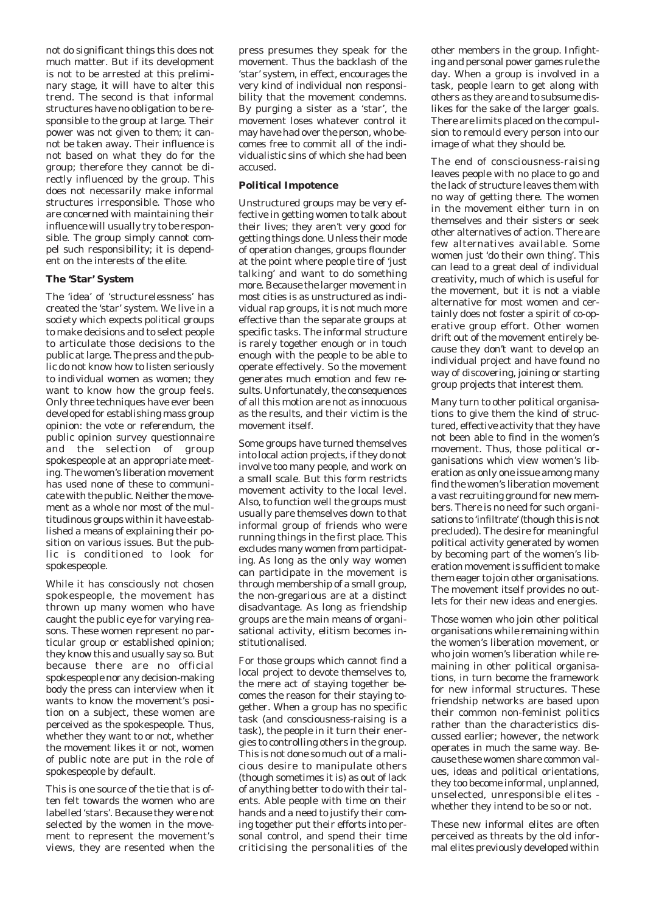not do significant things this does not much matter. But if its development is not to be arrested at this preliminary stage, it will have to alter this trend. The second is that informal structures have no obligation to be responsible to the group at large. Their power was not given to them; it cannot be taken away. Their influence is not based on what they do for the group; therefore they cannot be directly influenced by the group. This does not necessarily make informal structures irresponsible. Those who are concerned with maintaining their influence will usually try to be responsible. The group simply cannot compel such responsibility; it is dependent on the interests of the elite.

### **The 'Star' System**

The 'idea' of 'structurelessness' has created the 'star' system. We live in a society which expects political groups to make decisions and to select people to articulate those decisions to the public at large. The press and the public do not know how to listen seriously to individual women as women; they want to know how the group feels. Only three techniques have ever been developed for establishing mass group opinion: the vote or referendum, the public opinion survey questionnaire and the selection of group spokespeople at an appropriate meeting. The women's liberation movement has used none of these to communicate with the public. Neither the movement as a whole nor most of the multitudinous groups within it have established a means of explaining their position on various issues. But the public is conditioned to look for spokespeople.

While it has consciously not chosen spokespeople, the movement has thrown up many women who have caught the public eye for varying reasons. These women represent no particular group or established opinion; they know this and usually say so. But because there are no official spokespeople nor any decision-making body the press can interview when it wants to know the movement's position on a subject, these women are perceived as the spokespeople. Thus, whether they want to or not, whether the movement likes it or not, women of public note are put in the role of spokespeople by default.

This is one source of the tie that is often felt towards the women who are labelled 'stars'. Because they were not selected by the women in the movement to represent the movement's views, they are resented when the press presumes they speak for the movement. Thus the backlash of the 'star' system, in effect, encourages the very kind of individual non responsibility that the movement condemns. By purging a sister as a 'star', the movement loses whatever control it may have had over the person, who becomes free to commit all of the individualistic sins of which she had been accused.

### **Political Impotence**

Unstructured groups may be very effective in getting women to talk about their lives; they aren't very good for getting things done. Unless their mode of operation changes, groups flounder at the point where people tire of 'just talking' and want to do something more. Because the larger movement in most cities is as unstructured as individual rap groups, it is not much more effective than the separate groups at specific tasks. The informal structure is rarely together enough or in touch enough with the people to be able to operate effectively. So the movement generates much emotion and few results. Unfortunately, the consequences of all this motion are not as innocuous as the results, and their victim is the movement itself.

Some groups have turned themselves into local action projects, if they do not involve too many people, and work on a small scale. But this form restricts movement activity to the local level. Also, to function well the groups must usually pare themselves down to that informal group of friends who were running things in the first place. This excludes many women from participating. As long as the only way women can participate in the movement is through membership of a small group, the non-gregarious are at a distinct disadvantage. As long as friendship groups are the main means of organisational activity, elitism becomes institutionalised.

For those groups which cannot find a local project to devote themselves to, the mere act of staying together becomes the reason for their staying together. When a group has no specific task (and consciousness-raising is a task), the people in it turn their energies to controlling others in the group. This is not done so much out of a malicious desire to manipulate others (though sometimes it is) as out of lack of anything better to do with their talents. Able people with time on their hands and a need to justify their coming together put their efforts into personal control, and spend their time criticising the personalities of the other members in the group. Infighting and personal power games rule the day. When a group is involved in a task, people learn to get along with others as they are and to subsume dislikes for the sake of the larger goals. There are limits placed on the compulsion to remould every person into our image of what they should be.

The end of consciousness-raising leaves people with no place to go and the lack of structure leaves them with no way of getting there. The women in the movement either turn in on themselves and their sisters or seek other alternatives of action. There are few alternatives available. Some women just 'do their own thing'. This can lead to a great deal of individual creativity, much of which is useful for the movement, but it is not a viable alternative for most women and certainly does not foster a spirit of co-operative group effort. Other women drift out of the movement entirely because they don't want to develop an individual project and have found no way of discovering, joining or starting group projects that interest them.

Many turn to other political organisations to give them the kind of structured, effective activity that they have not been able to find in the women's movement. Thus, those political organisations which view women's liberation as only one issue among many find the women's liberation movement a vast recruiting ground for new members. There is no need for such organisations to 'infiltrate' (though this is not precluded). The desire for meaningful political activity generated by women by becoming part of the women's liberation movement is sufficient to make them eager to join other organisations. The movement itself provides no outlets for their new ideas and energies.

Those women who join other political organisations while remaining within the women's liberation movement, or who join women's liberation while remaining in other political organisations, in turn become the framework for new informal structures. These friendship networks are based upon their common non-feminist politics rather than the characteristics discussed earlier; however, the network operates in much the same way. Because these women share common values, ideas and political orientations, they too become informal, unplanned, unselected, unresponsible elites whether they intend to be so or not.

These new informal elites are often perceived as threats by the old informal elites previously developed within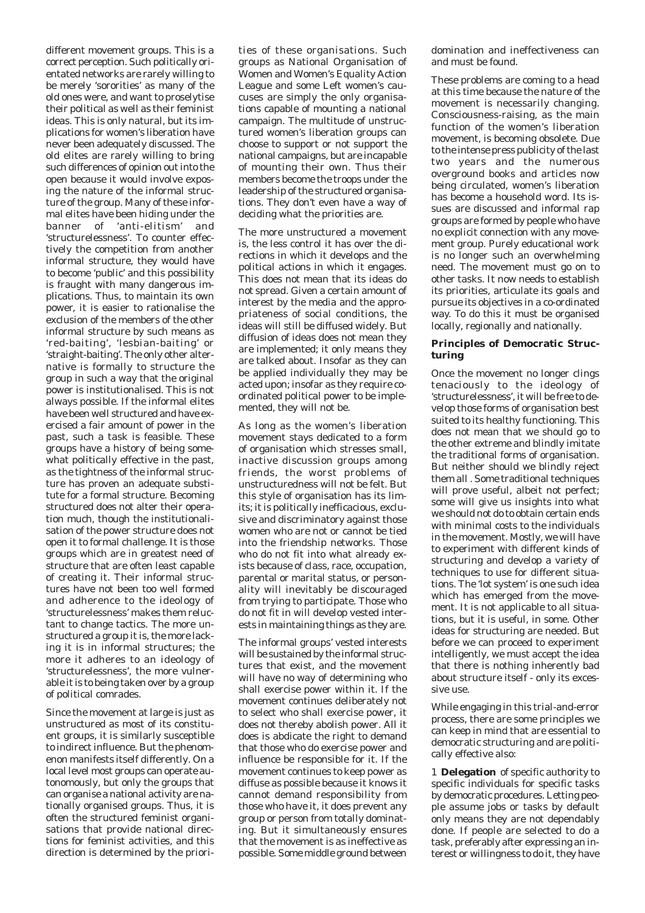different movement groups. This is a correct perception. Such politically orientated networks are rarely willing to be merely 'sororities' as many of the old ones were, and want to proselytise their political as well as their feminist ideas. This is only natural, but its implications for women's liberation have never been adequately discussed. The old elites are rarely willing to bring such differences of opinion out into the open because it would involve exposing the nature of the informal structure of the group. Many of these informal elites have been hiding under the banner of 'anti-elitism' and 'structurelessness'. To counter effectively the competition from another informal structure, they would have to become 'public' and this possibility is fraught with many dangerous implications. Thus, to maintain its own power, it is easier to rationalise the exclusion of the members of the other informal structure by such means as 'red-baiting', 'lesbian-baiting' or 'straight-baiting'. The only other alternative is formally to structure the group in such a way that the original power is institutionalised. This is not always possible. If the informal elites have been well structured and have exercised a fair amount of power in the past, such a task is feasible. These groups have a history of being somewhat politically effective in the past, as the tightness of the informal structure has proven an adequate substitute for a formal structure. Becoming structured does not alter their operation much, though the institutionalisation of the power structure does not open it to formal challenge. It is those groups which are in greatest need of structure that are often least capable of creating it. Their informal structures have not been too well formed and adherence to the ideology of 'structurelessness' makes them reluctant to change tactics. The more unstructured a group it is, the more lacking it is in informal structures; the more it adheres to an ideology of 'structurelessness', the more vulnerable it is to being taken over by a group of political comrades.

Since the movement at large is just as unstructured as most of its constituent groups, it is similarly susceptible to indirect influence. But the phenomenon manifests itself differently. On a local level most groups can operate autonomously, but only the groups that can organise a national activity are nationally organised groups. Thus, it is often the structured feminist organisations that provide national directions for feminist activities, and this direction is determined by the priorities of these organisations. Such groups as National Organisation of Women and Women's Equality Action League and some Left women's caucuses are simply the only organisations capable of mounting a national campaign. The multitude of unstructured women's liberation groups can choose to support or not support the national campaigns, but are incapable of mounting their own. Thus their members become the troops under the leadership of the structured organisations. They don't even have a way of deciding what the priorities are.

The more unstructured a movement is, the less control it has over the directions in which it develops and the political actions in which it engages. This does not mean that its ideas do not spread. Given a certain amount of interest by the media and the appropriateness of social conditions, the ideas will still be diffused widely. But diffusion of ideas does not mean they are implemented; it only means they are talked about. Insofar as they can be applied individually they may be acted upon; insofar as they require coordinated political power to be implemented, they will not be.

As long as the women's liberation movement stays dedicated to a form of organisation which stresses small, inactive discussion groups among friends, the worst problems of unstructuredness will not be felt. But this style of organisation has its limits; it is politically inefficacious, exclusive and discriminatory against those women who are not or cannot be tied into the friendship networks. Those who do not fit into what already exists because of class, race, occupation, parental or marital status, or personality will inevitably be discouraged from trying to participate. Those who do not fit in will develop vested interests in maintaining things as they are.

The informal groups' vested interests will be sustained by the informal structures that exist, and the movement will have no way of determining who shall exercise power within it. If the movement continues deliberately not to select who shall exercise power, it does not thereby abolish power. All it does is abdicate the right to demand that those who do exercise power and influence be responsible for it. If the movement continues to keep power as diffuse as possible because it knows it cannot demand responsibility from those who have it, it does prevent any group or person from totally dominating. But it simultaneously ensures that the movement is as ineffective as possible. Some middle ground between domination and ineffectiveness can and must be found.

These problems are coming to a head at this time because the nature of the movement is necessarily changing. Consciousness-raising, as the main function of the women's liberation movement, is becoming obsolete. Due to the intense press publicity of the last two years and the numerous overground books and articles now being circulated, women's liberation has become a household word. Its issues are discussed and informal rap groups are formed by people who have no explicit connection with any movement group. Purely educational work is no longer such an overwhelming need. The movement must go on to other tasks. It now needs to establish its priorities, articulate its goals and pursue its objectives in a co-ordinated way. To do this it must be organised locally, regionally and nationally.

### **Principles of Democratic Structuring**

Once the movement no longer clings tenaciously to the ideology of 'structurelessness', it will be free to develop those forms of organisation best suited to its healthy functioning. This does not mean that we should go to the other extreme and blindly imitate the traditional forms of organisation. But neither should we blindly reject them all . Some traditional techniques will prove useful, albeit not perfect; some will give us insights into what we should not do to obtain certain ends with minimal costs to the individuals in the movement. Mostly, we will have to experiment with different kinds of structuring and develop a variety of techniques to use for different situations. The 'lot system' is one such idea which has emerged from the movement. It is not applicable to all situations, but it is useful, in some. Other ideas for structuring are needed. But before we can proceed to experiment intelligently, we must accept the idea that there is nothing inherently bad about structure itself - only its excessive use.

While engaging in this trial-and-error process, there are some principles we can keep in mind that are essential to democratic structuring and are politically effective also:

1 **Delegation** of specific authority to specific individuals for specific tasks by democratic procedures. Letting people assume jobs or tasks by default only means they are not dependably done. If people are selected to do a task, preferably after expressing an interest or willingness to do it, they have